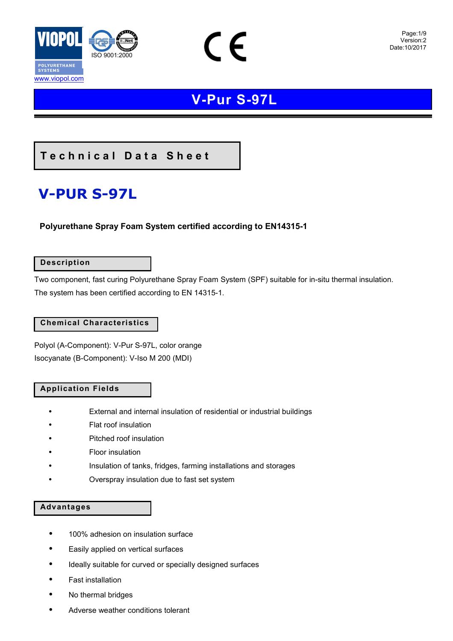

 $\in \epsilon$ 

### **Technical Data Sheet**

# **V-PUR S-97L**

### **Polyurethane Spray Foam System certified according to EN14315-1**

### **Description**

Two component, fast curing Polyurethane Spray Foam System (SPF) suitable for in-situ thermal insulation. The system has been certified according to EN 14315-1.

### **Chemical Characteristics**

Polyol (Α-Component): V-Pur S-97L, color orange Isocyanate (Β-Component): V-Iso M 200 (MDI)

### **Application Fields**

- External and internal insulation of residential or industrial buildings
- Flat roof insulation
- Pitched roof insulation
- Floor insulation
- Insulation of tanks, fridges, farming installations and storages
- Overspray insulation due to fast set system

### **Advantages**

- 100% adhesion on insulation surface
- Easily applied on vertical surfaces
- Ideally suitable for curved or specially designed surfaces
- Fast installation
- No thermal bridges
- Adverse weather conditions tolerant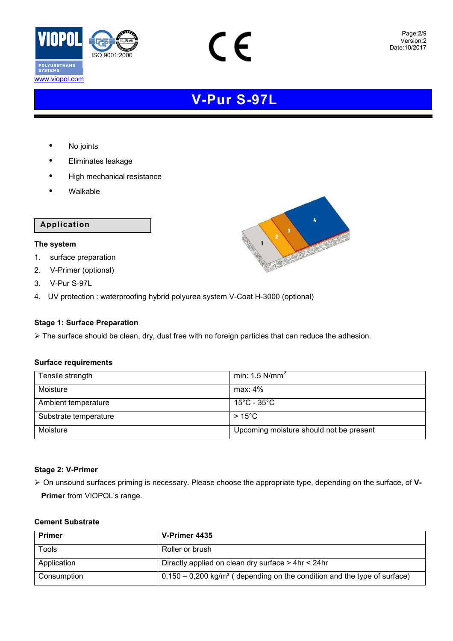

CE

• No joints

www.viopol.com

- Eliminates leakage
- High mechanical resistance
- Walkable

### **Application**

### **The system**

- 1. surface preparation
- 2. V-Primer (optional)
- 3. V-Pur S-97L
- 4. UV protection : waterproofing hybrid polyurea system V-Coat H-3000 (optional)

### **Stage 1: Surface Preparation**

> The surface should be clean, dry, dust free with no foreign particles that can reduce the adhesion.

### **Surface requirements**

| Tensile strength      | min: 1.5 $N/mm^2$                           |
|-----------------------|---------------------------------------------|
| Moisture              | $max: 4\%$                                  |
| Ambient temperature   | $15^{\circ}$ C - 35 $^{\circ}$ C $^{\circ}$ |
| Substrate temperature | $>15^{\circ}$ C                             |
| Moisture              | Upcoming moisture should not be present     |

### **Stage 2: V-Primer**

 On unsound surfaces priming is necessary. Please choose the appropriate type, depending on the surface, of **V-Primer** from VIOPOL's range.

### **Cement Substrate**

| <b>Primer</b> | V-Primer 4435                                                                          |  |
|---------------|----------------------------------------------------------------------------------------|--|
| Tools         | Roller or brush                                                                        |  |
| Application   | Directly applied on clean dry surface > 4hr < 24hr                                     |  |
| Consumption   | $0,150 - 0,200$ kg/m <sup>2</sup> (depending on the condition and the type of surface) |  |

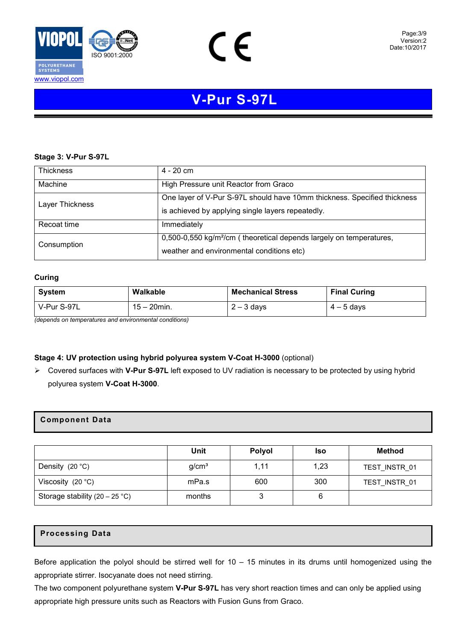

CE

#### **Stage 3: V-Pur S-97L**

| <b>Thickness</b> | 4 - 20 cm                                                                                                                     |  |  |
|------------------|-------------------------------------------------------------------------------------------------------------------------------|--|--|
| Machine          | High Pressure unit Reactor from Graco                                                                                         |  |  |
| Layer Thickness  | One layer of V-Pur S-97L should have 10mm thickness. Specified thickness<br>is achieved by applying single layers repeatedly. |  |  |
| Recoat time      | Immediately                                                                                                                   |  |  |
| Consumption      | 0,500-0,550 kg/m <sup>2</sup> /cm (theoretical depends largely on temperatures,<br>weather and environmental conditions etc)  |  |  |

#### **Curing**

| System      | Walkable       | <b>Mechanical Stress</b> | <b>Final Curing</b> |
|-------------|----------------|--------------------------|---------------------|
| V-Pur S-97L | $15 - 20$ min. | $2 - 3$ days             | $4 - 5$ days        |

*(depends on temperatures and environmental conditions)*

### **Stage 4: UV protection using hybrid polyurea system V-Coat H-3000** (optional)

 Covered surfaces with **V-Pur S-97L** left exposed to UV radiation is necessary to be protected by using hybrid polyurea system **V-Coat H-3000**.

### **Component Data**

|                                         | Unit              | Polyol | <b>Iso</b> | <b>Method</b> |
|-----------------------------------------|-------------------|--------|------------|---------------|
| Density $(20 °C)$                       | g/cm <sup>3</sup> | 1,11   | 1,23       | TEST INSTR 01 |
| Viscosity $(20 °C)$                     | mPa.s             | 600    | 300        | TEST INSTR 01 |
| Storage stability $(20 - 25 \degree C)$ | months            |        | 6          |               |

### **Processing Data**

Before application the polyol should be stirred well for  $10 - 15$  minutes in its drums until homogenized using the appropriate stirrer. Isocyanate does not need stirring.

The two component polyurethane system **V-Pur S-97L** has very short reaction times and can only be applied using appropriate high pressure units such as Reactors with Fusion Guns from Graco.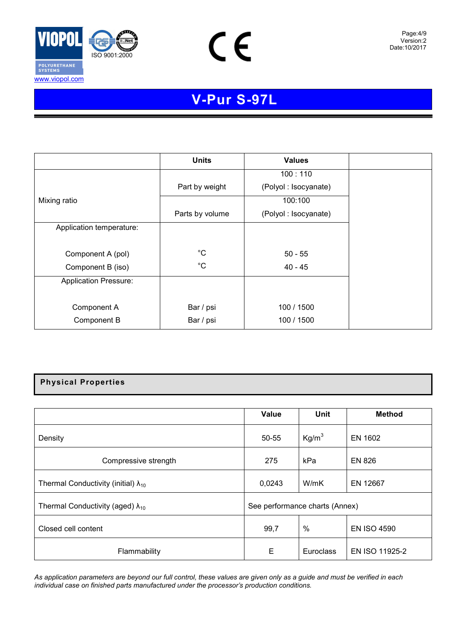

www.viopol.com



Page:4/9 Version:2 Date:6/2009 Date:10/2017

# **V-Pur S-97L**

|                              | <b>Units</b>    | <b>Values</b>        |
|------------------------------|-----------------|----------------------|
|                              |                 | 100:110              |
|                              | Part by weight  | (Polyol: Isocyanate) |
| Mixing ratio                 |                 | 100:100              |
|                              | Parts by volume | (Polyol: Isocyanate) |
| Application temperature:     |                 |                      |
|                              |                 |                      |
| Component A (pol)            | $^{\circ}C$     | $50 - 55$            |
| Component B (iso)            | $^{\circ}C$     | 40 - 45              |
| <b>Application Pressure:</b> |                 |                      |
|                              |                 |                      |
| Component A                  | Bar / psi       | 100 / 1500           |
| Component B                  | Bar / psi       | 100 / 1500           |

### **Physical Properties**

|                                               | Value                          | Unit              | <b>Method</b>      |
|-----------------------------------------------|--------------------------------|-------------------|--------------------|
| Density                                       | $50 - 55$                      | Kg/m <sup>3</sup> | EN 1602            |
| Compressive strength                          | 275                            | kPa               | <b>EN 826</b>      |
| Thermal Conductivity (initial) $\lambda_{10}$ | 0,0243                         | W/mK              | EN 12667           |
| Thermal Conductivity (aged) $\lambda_{10}$    | See performance charts (Annex) |                   |                    |
| Closed cell content                           | 99,7                           | $\%$              | <b>EN ISO 4590</b> |
| Flammability                                  | Е                              | Euroclass         | EN ISO 11925-2     |

*As application parameters are beyond our full control, these values are given only as a guide and must be verified in each individual case on finished parts manufactured under the processor's production conditions.*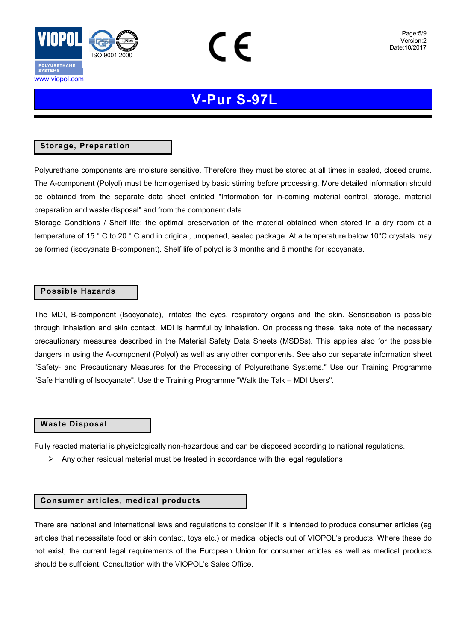

www.viopol.com

## **V-Pur S-97L**

### **Storage, Preparation**

Polyurethane components are moisture sensitive. Therefore they must be stored at all times in sealed, closed drums. The A-component (Polyol) must be homogenised by basic stirring before processing. More detailed information should be obtained from the separate data sheet entitled "Information for in-coming material control, storage, material preparation and waste disposal" and from the component data.

Storage Conditions / Shelf life: the optimal preservation of the material obtained when stored in a dry room at a temperature of 15 ° C to 20 ° C and in original, unopened, sealed package. At a temperature below 10°C crystals may be formed (isocyanate B-component). Shelf life of polyol is 3 months and 6 months for isocyanate.

### **Possible Hazards**

The MDI, B-component (Isocyanate), irritates the eyes, respiratory organs and the skin. Sensitisation is possible through inhalation and skin contact. MDI is harmful by inhalation. On processing these, take note of the necessary precautionary measures described in the Material Safety Data Sheets (MSDSs). This applies also for the possible dangers in using the A-component (Polyol) as well as any other components. See also our separate information sheet "Safety- and Precautionary Measures for the Processing of Polyurethane Systems." Use our Training Programme "Safe Handling of Isocyanate". Use the Training Programme "Walk the Talk – MDI Users".

### **Waste Disposal**

Fully reacted material is physiologically non-hazardous and can be disposed according to national regulations.

 $\triangleright$  Any other residual material must be treated in accordance with the legal regulations

### **Consumer articles, medical products**

There are national and international laws and regulations to consider if it is intended to produce consumer articles (eg articles that necessitate food or skin contact, toys etc.) or medical objects out of VIOPOL's products. Where these do not exist, the current legal requirements of the European Union for consumer articles as well as medical products should be sufficient. Consultation with the VIOPOL's Sales Office.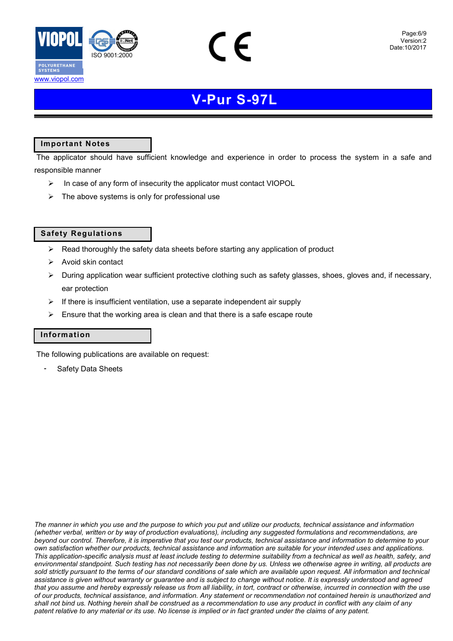



### **Important Notes**

www.viopol.com

 The applicator should have sufficient knowledge and experience in order to process the system in a safe and responsible manner

- $\triangleright$  In case of any form of insecurity the applicator must contact VIOPOL
- $\triangleright$  The above systems is only for professional use

### **Safety Regulations**

- $\triangleright$  Read thoroughly the safety data sheets before starting any application of product
- $\triangleright$  Avoid skin contact
- $\triangleright$  During application wear sufficient protective clothing such as safety glasses, shoes, gloves and, if necessary, ear protection
- $\triangleright$  If there is insufficient ventilation, use a separate independent air supply
- $\triangleright$  Ensure that the working area is clean and that there is a safe escape route

### **Information**

The following publications are available on request:

Safety Data Sheets

*The manner in which you use and the purpose to which you put and utilize our products, technical assistance and information (whether verbal, written or by way of production evaluations), including any suggested formulations and recommendations, are beyond our control. Therefore, it is imperative that you test our products, technical assistance and information to determine to your own satisfaction whether our products, technical assistance and information are suitable for your intended uses and applications. This application-specific analysis must at least include testing to determine suitability from a technical as well as health, safety, and environmental standpoint. Such testing has not necessarily been done by us. Unless we otherwise agree in writing, all products are sold strictly pursuant to the terms of our standard conditions of sale which are available upon request. All information and technical assistance is given without warranty or guarantee and is subject to change without notice. It is expressly understood and agreed that you assume and hereby expressly release us from all liability, in tort, contract or otherwise, incurred in connection with the use of our products, technical assistance, and information. Any statement or recommendation not contained herein is unauthorized and shall not bind us. Nothing herein shall be construed as a recommendation to use any product in conflict with any claim of any patent relative to any material or its use. No license is implied or in fact granted under the claims of any patent.*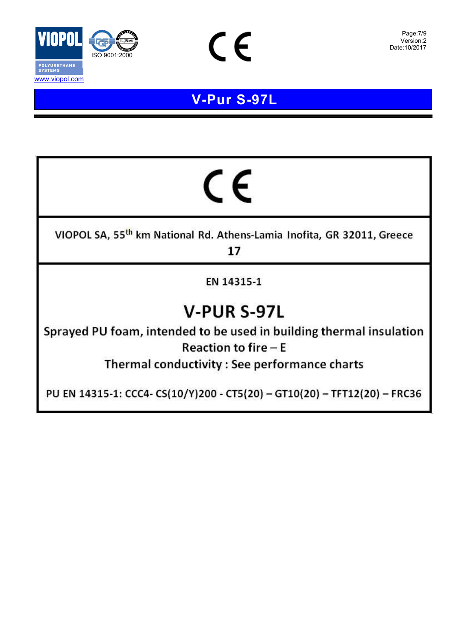

www.viopol.com

# **V - Pur S -97 L**

CE

# CE

VIOPOL SA, 55<sup>th</sup> km National Rd. Athens-Lamia Inofita, GR 32011, Greece 17

EN 14315-1

# **V-PUR S-97L**

Sprayed PU foam, intended to be used in building thermal insulation **Reaction to fire**  $-E$ 

Thermal conductivity : See performance charts

PU EN 14315-1: CCC4- CS(10/Y)200 - CT5(20) - GT10(20) - TFT12(20) - FRC36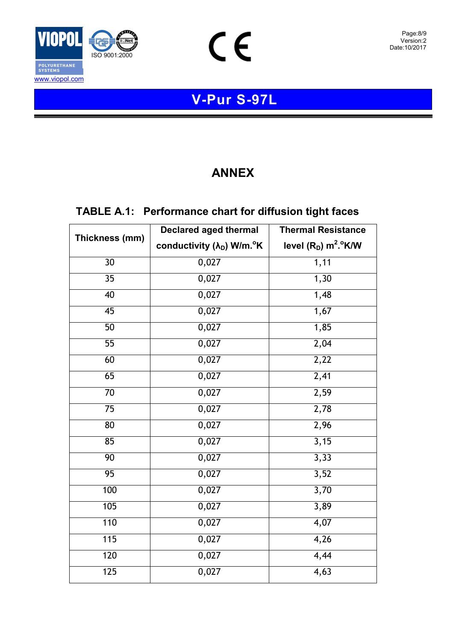

 $C \in$ 

### **ANNEX**

### **TABLE A.1: Performance chart for diffusion tight faces**

|                 | <b>Declared aged thermal</b>                       | <b>Thermal Resistance</b>          |  |
|-----------------|----------------------------------------------------|------------------------------------|--|
| Thickness (mm)  | conductivity (λ <sub>D</sub> ) W/m. <sup>o</sup> K | level $(R_D)$ m <sup>2</sup> . K/W |  |
| $\overline{30}$ | 0,027                                              | 1,11                               |  |
| $\overline{35}$ | 0,027                                              | 1,30                               |  |
| 40              | 0,027                                              | 1,48                               |  |
| $\overline{45}$ | 0,027                                              | 1,67                               |  |
| $\overline{50}$ | 0,027                                              | 1,85                               |  |
| 55              | 0,027                                              | 2,04                               |  |
| 60              | 0,027                                              | 2,22                               |  |
| 65              | 0,027                                              | 2,41                               |  |
| $\overline{70}$ | 0,027                                              | 2,59                               |  |
| 75              | 0,027                                              | 2,78                               |  |
| $\overline{80}$ | 0,027                                              | 2,96                               |  |
| 85              | 0,027                                              | 3,15                               |  |
| 90              | 0,027                                              | 3,33                               |  |
| $\overline{95}$ | 0,027                                              | 3,52                               |  |
| 100             | 0,027                                              | 3,70                               |  |
| 105             | 0,027                                              | 3,89                               |  |
| 110             | 0,027                                              | 4,07                               |  |
| 115             | 0,027                                              | 4,26                               |  |
| 120             | 0,027                                              | 4,44                               |  |
| 125             | 0,027                                              | 4,63                               |  |